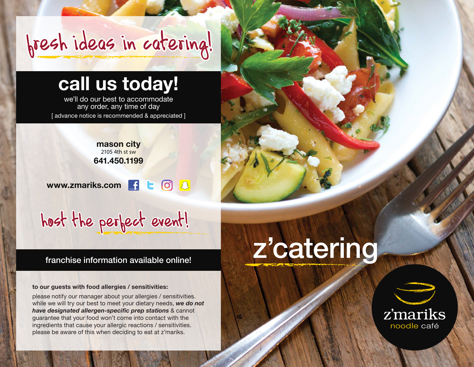## fresh ideas in catering!

### **call us today!**

we'll do our best to accommodate any order, any time of day [advance notice is recommended & appreciated]

> **mason city** 2105 4th st sw **641.450.1199**

**问 8 www.zmariks.com**  -f le.

host the perfect event!

#### franchise information available online!

**to our guests with food allergies / sensitivities:**

please notify our manager about your allergies / sensitivities. while we will try our best to meet your dietary needs, *we do not have designated allergen-specific prep stations* & cannot guarantee that your food won't come into contact with the ingredients that cause your allergic reactions / sensitivities. please be aware of this when deciding to eat at z'mariks.

# z'catering